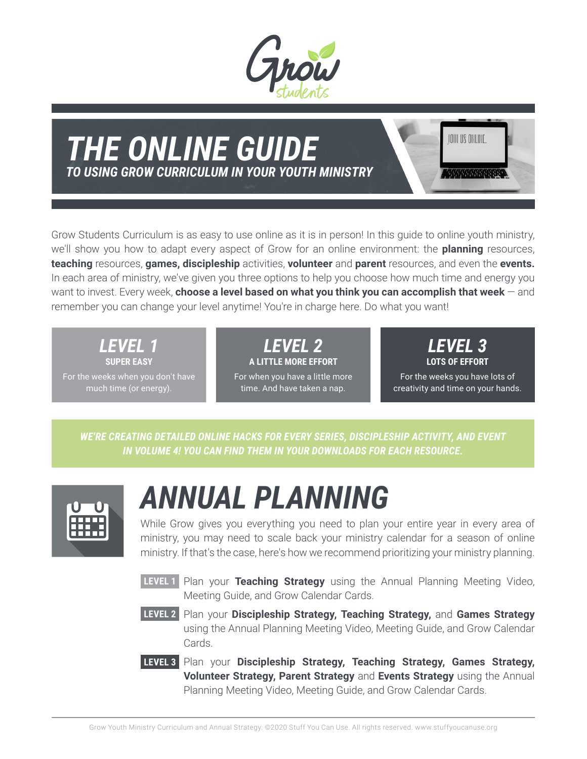

#### *THE ONLINE GUIDE TO USING GROW CURRICULUM IN YOUR YOUTH MINISTRY*

IOIN US ONLINE *HAMMARY* 

Grow Students Curriculum is as easy to use online as it is in person! In this guide to online youth ministry, we'll show you how to adapt every aspect of Grow for an online environment: the **planning** resources, **teaching** resources, **games, discipleship** activities, **volunteer** and **parent** resources, and even the **events.**  In each area of ministry, we've given you three options to help you choose how much time and energy you want to invest. Every week, **choose a level based on what you think you can accomplish that week** — and remember you can change your level anytime! You're in charge here. Do what you want!

> *LEVEL 1*  **SUPER EASY**

For the weeks when you don't have much time (or energy).

*LEVEL 2*  **A LITTLE MORE EFFORT**  For when you have a little more time. And have taken a nap.

*LEVEL 3*  **LOTS OF EFFORT** 

For the weeks you have lots of creativity and time on your hands.

*WE'RE CREATING DETAILED ONLINE HACKS FOR EVERY SERIES, DISCIPLESHIP ACTIVITY, AND EVENT IN VOLUME 4! YOU CAN FIND THEM IN YOUR DOWNLOADS FOR EACH RESOURCE.*



### *ANNUAL PLANNING*

While Grow gives you everything you need to plan your entire year in every area of ministry, you may need to scale back your ministry calendar for a season of online ministry. If that's the case, here's how we recommend prioritizing your ministry planning.

- **LEVEL 1** Plan your **Teaching Strategy** using the Annual Planning Meeting Video, Meeting Guide, and Grow Calendar Cards.
- **LEVEL 2** Plan your **Discipleship Strategy, Teaching Strategy, and Games Strategy** using the Annual Planning Meeting Video, Meeting Guide, and Grow Calendar Cards.
- **LEVEL 3:** Plan your **Discipleship Strategy, Teaching Strategy, Games Strategy, LEVEL 3 Volunteer Strategy, Parent Strategy** and **Events Strategy** using the Annual Planning Meeting Video, Meeting Guide, and Grow Calendar Cards.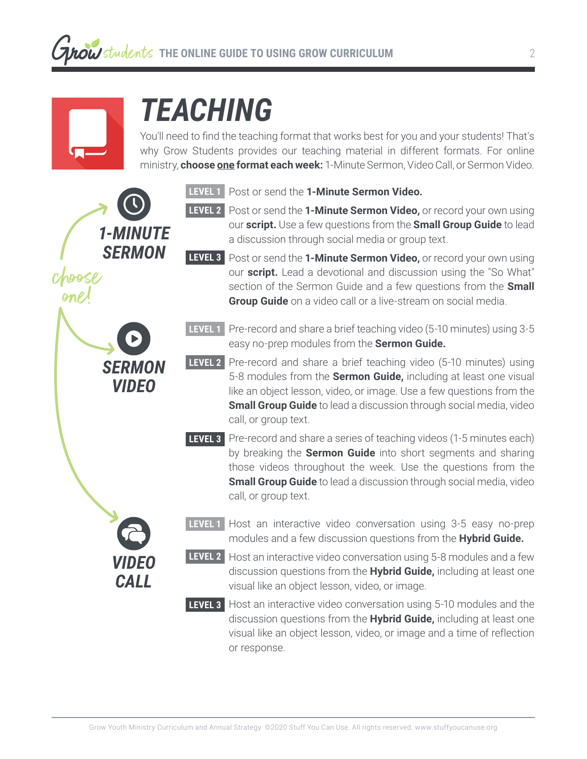

# *TEACHING*

You'll need to find the teaching format that works best for you and your students! That's why Grow Students provides our teaching material in different formats. For online ministry, **choose one format each week:** 1-Minute Sermon, Video Call, or Sermon Video.



- **LEVEL 2** Post or send the **1-Minute Sermon Video,** or record your own using our **script.** Use a few questions from the **Small Group Guide** to lead a discussion through social media or group text.
- **LEVEL 3** Post or send the **1-Minute Sermon Video,** or record your own using our **script.** Lead a devotional and discussion using the "So What" section of the Sermon Guide and a few questions from the **Small Group Guide** on a video call or a live-stream on social media.
- **LEVEL 1** Pre-record and share a brief teaching video (5-10 minutes) using 3-5 easy no-prep modules from the **Sermon Guide.**
- **LEVEL 2** Pre-record and share a brief teaching video (5-10 minutes) using 5-8 modules from the **Sermon Guide,** including at least one visual like an object lesson, video, or image. Use a few questions from the **Small Group Guide** to lead a discussion through social media, video call, or group text.
- **LEVEL 3:** Pre-record and share a series of teaching videos (1-5 minutes each) **LEVEL 3** by breaking the **Sermon Guide** into short segments and sharing those videos throughout the week. Use the questions from the **Small Group Guide** to lead a discussion through social media, video call, or group text.
- **LEVEL 1** Host an interactive video conversation using 3-5 easy no-prep modules and a few discussion questions from the **Hybrid Guide.**
- **LEVEL 2** Host an interactive video conversation using 5-8 modules and a few discussion questions from the **Hybrid Guide,** including at least one visual like an object lesson, video, or image.
- **LEVEL 3** Host an interactive video conversation using 5-10 modules and the discussion questions from the **Hybrid Guide,** including at least one visual like an object lesson, video, or image and a time of reflection or response.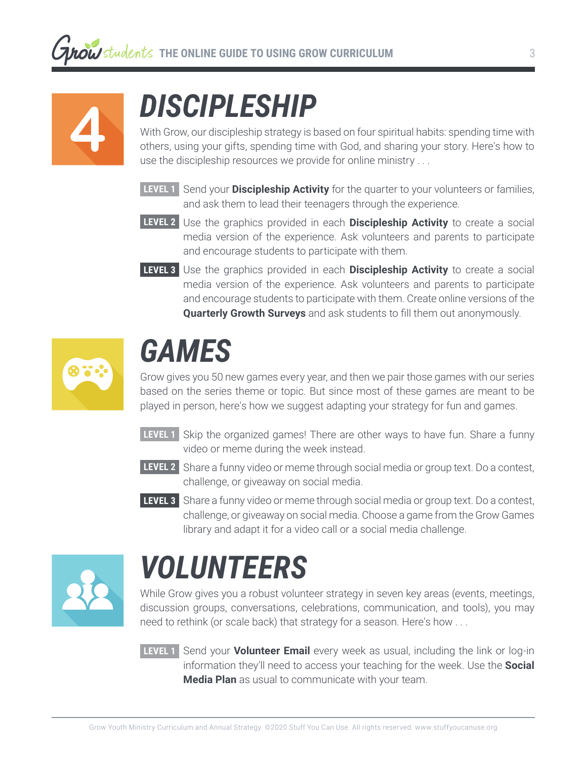

# *DISCIPLESHIP*

With Grow, our discipleship strategy is based on four spiritual habits: spending time with others, using your gifts, spending time with God, and sharing your story. Here's how to use the discipleship resources we provide for online ministry . . .

- **LEVEL 1** Send your **Discipleship Activity** for the quarter to your volunteers or families, **LEVEL 1** and ask them to lead their teenagers through the experience.
- **LEVEL 2** Use the graphics provided in each **Discipleship Activity** to create a social media version of the experience. Ask volunteers and parents to participate and encourage students to participate with them.
- **LEVEL 3** Use the graphics provided in each **Discipleship Activity** to create a social media version of the experience. Ask volunteers and parents to participate and encourage students to participate with them. Create online versions of the **Quarterly Growth Surveys** and ask students to fill them out anonymously.



## *GAMES*

Grow gives you 50 new games every year, and then we pair those games with our series based on the series theme or topic. But since most of these games are meant to be played in person, here's how we suggest adapting your strategy for fun and games.

- **LEVEL 1** Skip the organized games! There are other ways to have fun. Share a funny **LEVEL 1** video or meme during the week instead.
- **LEVEL 2** Share a funny video or meme through social media or group text. Do a contest, challenge, or giveaway on social media.
- **LEVEL 3** Share a funny video or meme through social media or group text. Do a contest, challenge, or giveaway on social media. Choose a game from the Grow Games library and adapt it for a video call or a social media challenge.



# *VOLUNTEERS*

While Grow gives you a robust volunteer strategy in seven key areas (events, meetings, discussion groups, conversations, celebrations, communication, and tools), you may need to rethink (or scale back) that strategy for a season. Here's how . . .

**LEVEL 1** Send your **Volunteer Email** every week as usual, including the link or log-in information they'll need to access your teaching for the week. Use the **Social Media Plan** as usual to communicate with your team.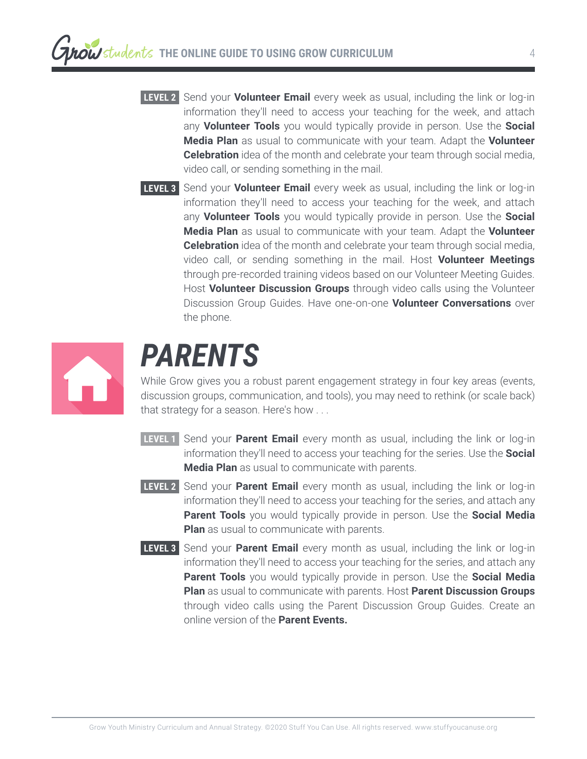- **LEVEL 2** Send your **Volunteer Email** every week as usual, including the link or log-in information they'll need to access your teaching for the week, and attach any **Volunteer Tools** you would typically provide in person. Use the **Social Media Plan** as usual to communicate with your team. Adapt the **Volunteer Celebration** idea of the month and celebrate your team through social media, video call, or sending something in the mail.
- **LEVEL 3** Send your **Volunteer Email** every week as usual, including the link or log-in information they'll need to access your teaching for the week, and attach any **Volunteer Tools** you would typically provide in person. Use the **Social Media Plan** as usual to communicate with your team. Adapt the **Volunteer Celebration** idea of the month and celebrate your team through social media, video call, or sending something in the mail. Host **Volunteer Meetings** through pre-recorded training videos based on our Volunteer Meeting Guides. Host **Volunteer Discussion Groups** through video calls using the Volunteer Discussion Group Guides. Have one-on-one **Volunteer Conversations** over the phone.



#### *PARENTS*

While Grow gives you a robust parent engagement strategy in four key areas (events, discussion groups, communication, and tools), you may need to rethink (or scale back) that strategy for a season. Here's how . . .

- **LEVEL 1** Send your **Parent Email** every month as usual, including the link or log-in **LEVEL 1** information they'll need to access your teaching for the series. Use the **Social Media Plan** as usual to communicate with parents.
- **LEVEL 2** Send your **Parent Email** every month as usual, including the link or log-in information they'll need to access your teaching for the series, and attach any **Parent Tools** you would typically provide in person. Use the **Social Media Plan** as usual to communicate with parents.
- **LEVEL 3** Send your **Parent Email** every month as usual, including the link or log-in information they'll need to access your teaching for the series, and attach any **Parent Tools** you would typically provide in person. Use the **Social Media Plan** as usual to communicate with parents. Host **Parent Discussion Groups** through video calls using the Parent Discussion Group Guides. Create an online version of the **Parent Events.**